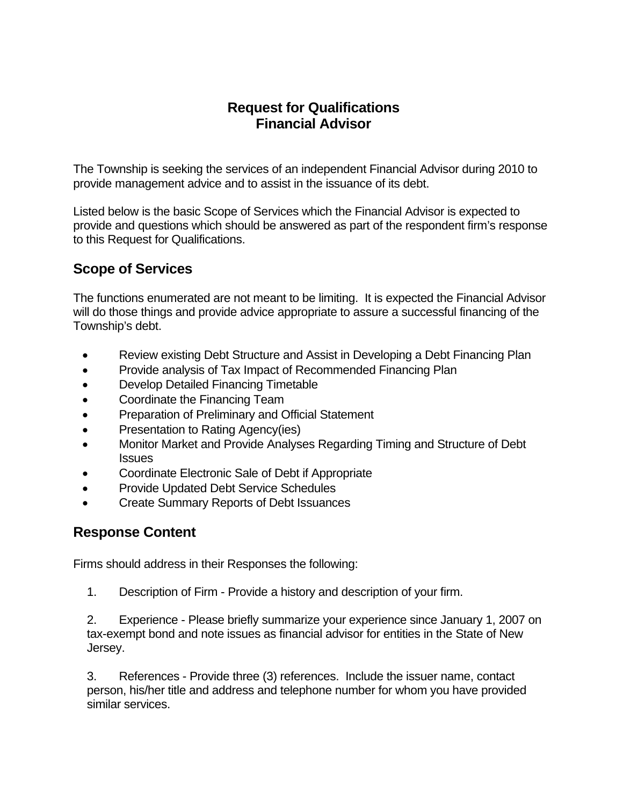## **Request for Qualifications Financial Advisor**

The Township is seeking the services of an independent Financial Advisor during 2010 to provide management advice and to assist in the issuance of its debt.

Listed below is the basic Scope of Services which the Financial Advisor is expected to provide and questions which should be answered as part of the respondent firm's response to this Request for Qualifications.

## **Scope of Services**

The functions enumerated are not meant to be limiting. It is expected the Financial Advisor will do those things and provide advice appropriate to assure a successful financing of the Township's debt.

- Review existing Debt Structure and Assist in Developing a Debt Financing Plan
- Provide analysis of Tax Impact of Recommended Financing Plan
- Develop Detailed Financing Timetable
- Coordinate the Financing Team
- Preparation of Preliminary and Official Statement
- Presentation to Rating Agency(ies)
- Monitor Market and Provide Analyses Regarding Timing and Structure of Debt **Issues**
- Coordinate Electronic Sale of Debt if Appropriate
- Provide Updated Debt Service Schedules
- Create Summary Reports of Debt Issuances

## **Response Content**

Firms should address in their Responses the following:

1. Description of Firm - Provide a history and description of your firm.

2. Experience - Please briefly summarize your experience since January 1, 2007 on tax-exempt bond and note issues as financial advisor for entities in the State of New Jersey.

3. References - Provide three (3) references. Include the issuer name, contact person, his/her title and address and telephone number for whom you have provided similar services.